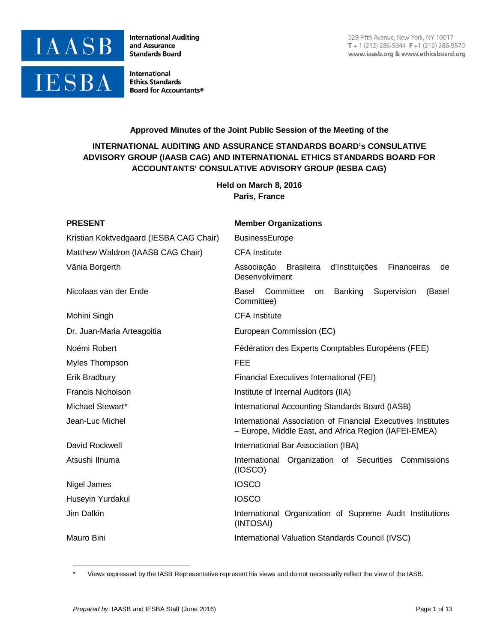

**International Auditing** and Assurance **Standards Board** 

**International Ethics Standards Board for Accountants®** 

# **Approved Minutes of the Joint Public Session of the Meeting of the**

# **INTERNATIONAL AUDITING AND ASSURANCE STANDARDS BOARD's CONSULATIVE ADVISORY GROUP (IAASB CAG) AND INTERNATIONAL ETHICS STANDARDS BOARD FOR ACCOUNTANTS' CONSULATIVE ADVISORY GROUP (IESBA CAG)**

**Held on March 8, 2016 Paris, France**

| <b>PRESENT</b>                          | <b>Member Organizations</b>                                                                                           |
|-----------------------------------------|-----------------------------------------------------------------------------------------------------------------------|
| Kristian Koktvedgaard (IESBA CAG Chair) | <b>BusinessEurope</b>                                                                                                 |
| Matthew Waldron (IAASB CAG Chair)       | <b>CFA</b> Institute                                                                                                  |
| Vãnia Borgerth                          | Associação<br>Brasileira<br>d'Instituições<br>Financeiras<br>de<br>Desenvolviment                                     |
| Nicolaas van der Ende                   | Committee<br>Basel<br>Banking<br>Supervision<br>(Basel<br><b>on</b><br>Committee)                                     |
| Mohini Singh                            | <b>CFA</b> Institute                                                                                                  |
| Dr. Juan-Maria Arteagoitia              | European Commission (EC)                                                                                              |
| Noémi Robert                            | Fédération des Experts Comptables Européens (FEE)                                                                     |
| Myles Thompson                          | <b>FEE</b>                                                                                                            |
| Erik Bradbury                           | <b>Financial Executives International (FEI)</b>                                                                       |
| <b>Francis Nicholson</b>                | Institute of Internal Auditors (IIA)                                                                                  |
| Michael Stewart*                        | International Accounting Standards Board (IASB)                                                                       |
| Jean-Luc Michel                         | International Association of Financial Executives Institutes<br>- Europe, Middle East, and Africa Region (IAFEI-EMEA) |
| David Rockwell                          | International Bar Association (IBA)                                                                                   |
| Atsushi Ilnuma                          | International Organization of Securities Commissions<br>(IOSCO)                                                       |
| Nigel James                             | <b>IOSCO</b>                                                                                                          |
| Huseyin Yurdakul                        | <b>IOSCO</b>                                                                                                          |
| Jim Dalkin                              | International Organization of Supreme Audit Institutions<br>(INTOSAI)                                                 |
| Mauro Bini                              | International Valuation Standards Council (IVSC)                                                                      |

<span id="page-0-0"></span>Views expressed by the IASB Representative represent his views and do not necessarily reflect the view of the IASB.

-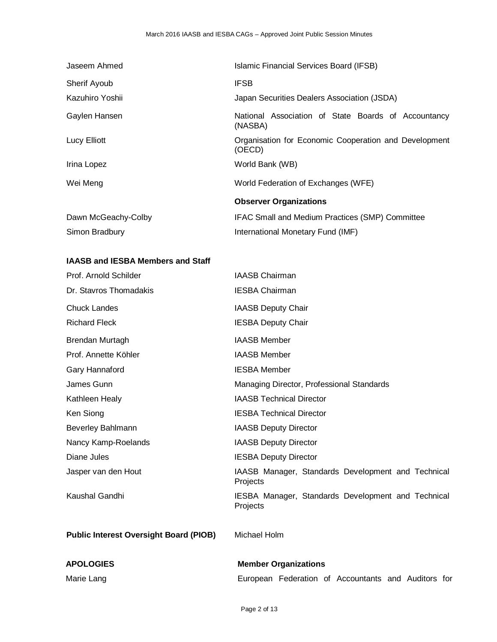| Jaseem Ahmed        | Islamic Financial Services Board (IFSB)                         |
|---------------------|-----------------------------------------------------------------|
| Sherif Ayoub        | <b>IFSB</b>                                                     |
| Kazuhiro Yoshii     | Japan Securities Dealers Association (JSDA)                     |
| Gaylen Hansen       | National Association of State Boards of Accountancy<br>(NASBA)  |
| Lucy Elliott        | Organisation for Economic Cooperation and Development<br>(OECD) |
| Irina Lopez         | World Bank (WB)                                                 |
| Wei Meng            | World Federation of Exchanges (WFE)                             |
|                     | <b>Observer Organizations</b>                                   |
| Dawn McGeachy-Colby | IFAC Small and Medium Practices (SMP) Committee                 |
| Simon Bradbury      | International Monetary Fund (IMF)                               |

# **IAASB and IESBA Members and Staff**

| Prof. Arnold Schilder                         | <b>IAASB Chairman</b>                                          |
|-----------------------------------------------|----------------------------------------------------------------|
| Dr. Stavros Thomadakis                        | <b>IESBA Chairman</b>                                          |
| <b>Chuck Landes</b>                           | <b>IAASB Deputy Chair</b>                                      |
| <b>Richard Fleck</b>                          | <b>IESBA Deputy Chair</b>                                      |
| Brendan Murtagh                               | <b>IAASB Member</b>                                            |
| Prof. Annette Köhler                          | <b>IAASB Member</b>                                            |
| Gary Hannaford                                | <b>IESBA Member</b>                                            |
| James Gunn                                    | Managing Director, Professional Standards                      |
| Kathleen Healy                                | <b>IAASB Technical Director</b>                                |
| Ken Siong                                     | <b>IESBA Technical Director</b>                                |
| <b>Beverley Bahlmann</b>                      | <b>IAASB Deputy Director</b>                                   |
| Nancy Kamp-Roelands                           | <b>IAASB Deputy Director</b>                                   |
| Diane Jules                                   | <b>IESBA Deputy Director</b>                                   |
| Jasper van den Hout                           | IAASB Manager, Standards Development and Technical<br>Projects |
| Kaushal Gandhi                                | IESBA Manager, Standards Development and Technical<br>Projects |
| <b>Public Interest Oversight Board (PIOB)</b> | Michael Holm                                                   |
| <b>APOLOGIES</b>                              | <b>Member Organizations</b>                                    |
| Marie Lang                                    | European Federation of Accountants and Auditors for            |

Page 2 of 13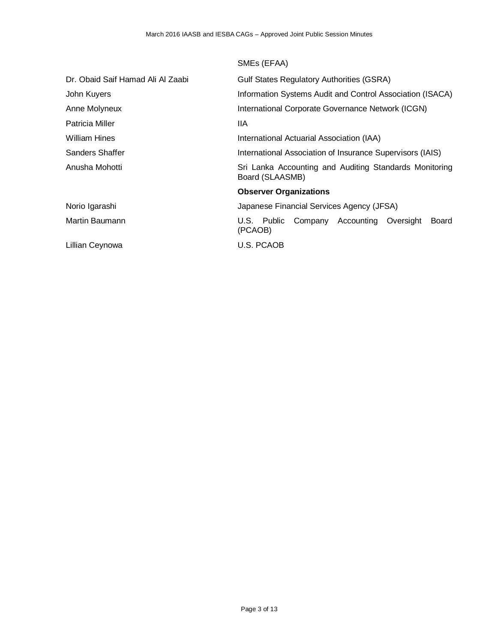|                                   | SMEs (EFAA)                                                               |
|-----------------------------------|---------------------------------------------------------------------------|
| Dr. Obaid Saif Hamad Ali Al Zaabi | <b>Gulf States Regulatory Authorities (GSRA)</b>                          |
| John Kuyers                       | Information Systems Audit and Control Association (ISACA)                 |
| Anne Molyneux                     | International Corporate Governance Network (ICGN)                         |
| Patricia Miller                   | 11A                                                                       |
| <b>William Hines</b>              | International Actuarial Association (IAA)                                 |
| Sanders Shaffer                   | International Association of Insurance Supervisors (IAIS)                 |
| Anusha Mohotti                    | Sri Lanka Accounting and Auditing Standards Monitoring<br>Board (SLAASMB) |
|                                   | <b>Observer Organizations</b>                                             |
| Norio Igarashi                    | Japanese Financial Services Agency (JFSA)                                 |
| Martin Baumann                    | Company Accounting Oversight<br>U.S. Public<br>Board<br>(PCAOB)           |
| Lillian Ceynowa                   | U.S. PCAOB                                                                |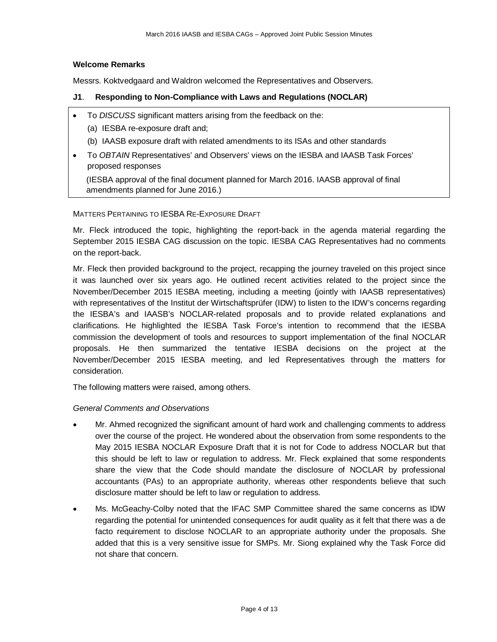#### **Welcome Remarks**

Messrs. Koktvedgaard and Waldron welcomed the Representatives and Observers.

#### **J1**. **Responding to Non-Compliance with Laws and Regulations (NOCLAR)**

- To *DISCUSS* significant matters arising from the feedback on the:
	- (a) IESBA re-exposure draft and;
	- (b) IAASB exposure draft with related amendments to its ISAs and other standards
- To *OBTAIN* Representatives' and Observers' views on the IESBA and IAASB Task Forces' proposed responses

(IESBA approval of the final document planned for March 2016. IAASB approval of final amendments planned for June 2016.)

MATTERS PERTAINING TO IESBA RE-EXPOSURE DRAFT

Mr. Fleck introduced the topic, highlighting the report-back in the agenda material regarding the September 2015 IESBA CAG discussion on the topic. IESBA CAG Representatives had no comments on the report-back.

Mr. Fleck then provided background to the project, recapping the journey traveled on this project since it was launched over six years ago. He outlined recent activities related to the project since the November/December 2015 IESBA meeting, including a meeting (jointly with IAASB representatives) with representatives of the Institut der Wirtschaftsprüfer (IDW) to listen to the IDW's concerns regarding the IESBA's and IAASB's NOCLAR-related proposals and to provide related explanations and clarifications. He highlighted the IESBA Task Force's intention to recommend that the IESBA commission the development of tools and resources to support implementation of the final NOCLAR proposals. He then summarized the tentative IESBA decisions on the project at the November/December 2015 IESBA meeting, and led Representatives through the matters for consideration.

The following matters were raised, among others.

#### *General Comments and Observations*

- Mr. Ahmed recognized the significant amount of hard work and challenging comments to address over the course of the project. He wondered about the observation from some respondents to the May 2015 IESBA NOCLAR Exposure Draft that it is not for Code to address NOCLAR but that this should be left to law or regulation to address. Mr. Fleck explained that some respondents share the view that the Code should mandate the disclosure of NOCLAR by professional accountants (PAs) to an appropriate authority, whereas other respondents believe that such disclosure matter should be left to law or regulation to address.
- Ms. McGeachy-Colby noted that the IFAC SMP Committee shared the same concerns as IDW regarding the potential for unintended consequences for audit quality as it felt that there was a de facto requirement to disclose NOCLAR to an appropriate authority under the proposals. She added that this is a very sensitive issue for SMPs. Mr. Siong explained why the Task Force did not share that concern.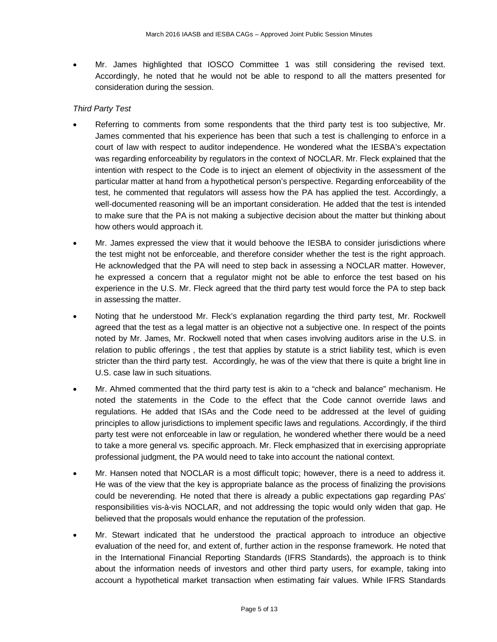• Mr. James highlighted that IOSCO Committee 1 was still considering the revised text. Accordingly, he noted that he would not be able to respond to all the matters presented for consideration during the session.

## *Third Party Test*

- Referring to comments from some respondents that the third party test is too subjective, Mr. James commented that his experience has been that such a test is challenging to enforce in a court of law with respect to auditor independence. He wondered what the IESBA's expectation was regarding enforceability by regulators in the context of NOCLAR. Mr. Fleck explained that the intention with respect to the Code is to inject an element of objectivity in the assessment of the particular matter at hand from a hypothetical person's perspective. Regarding enforceability of the test, he commented that regulators will assess how the PA has applied the test. Accordingly, a well-documented reasoning will be an important consideration. He added that the test is intended to make sure that the PA is not making a subjective decision about the matter but thinking about how others would approach it.
- Mr. James expressed the view that it would behoove the IESBA to consider jurisdictions where the test might not be enforceable, and therefore consider whether the test is the right approach. He acknowledged that the PA will need to step back in assessing a NOCLAR matter. However, he expressed a concern that a regulator might not be able to enforce the test based on his experience in the U.S. Mr. Fleck agreed that the third party test would force the PA to step back in assessing the matter.
- Noting that he understood Mr. Fleck's explanation regarding the third party test, Mr. Rockwell agreed that the test as a legal matter is an objective not a subjective one. In respect of the points noted by Mr. James, Mr. Rockwell noted that when cases involving auditors arise in the U.S. in relation to public offerings , the test that applies by statute is a strict liability test, which is even stricter than the third party test. Accordingly, he was of the view that there is quite a bright line in U.S. case law in such situations.
- Mr. Ahmed commented that the third party test is akin to a "check and balance" mechanism. He noted the statements in the Code to the effect that the Code cannot override laws and regulations. He added that ISAs and the Code need to be addressed at the level of guiding principles to allow jurisdictions to implement specific laws and regulations. Accordingly, if the third party test were not enforceable in law or regulation, he wondered whether there would be a need to take a more general vs. specific approach. Mr. Fleck emphasized that in exercising appropriate professional judgment, the PA would need to take into account the national context.
- Mr. Hansen noted that NOCLAR is a most difficult topic; however, there is a need to address it. He was of the view that the key is appropriate balance as the process of finalizing the provisions could be neverending. He noted that there is already a public expectations gap regarding PAs' responsibilities vis-à-vis NOCLAR, and not addressing the topic would only widen that gap. He believed that the proposals would enhance the reputation of the profession.
- Mr. Stewart indicated that he understood the practical approach to introduce an objective evaluation of the need for, and extent of, further action in the response framework. He noted that in the International Financial Reporting Standards (IFRS Standards), the approach is to think about the information needs of investors and other third party users, for example, taking into account a hypothetical market transaction when estimating fair values. While IFRS Standards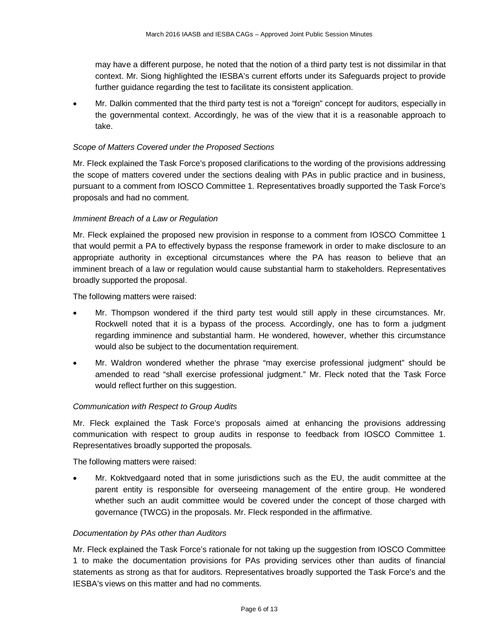may have a different purpose, he noted that the notion of a third party test is not dissimilar in that context. Mr. Siong highlighted the IESBA's current efforts under its Safeguards project to provide further guidance regarding the test to facilitate its consistent application.

• Mr. Dalkin commented that the third party test is not a "foreign" concept for auditors, especially in the governmental context. Accordingly, he was of the view that it is a reasonable approach to take.

#### *Scope of Matters Covered under the Proposed Sections*

Mr. Fleck explained the Task Force's proposed clarifications to the wording of the provisions addressing the scope of matters covered under the sections dealing with PAs in public practice and in business, pursuant to a comment from IOSCO Committee 1. Representatives broadly supported the Task Force's proposals and had no comment.

### *Imminent Breach of a Law or Regulation*

Mr. Fleck explained the proposed new provision in response to a comment from IOSCO Committee 1 that would permit a PA to effectively bypass the response framework in order to make disclosure to an appropriate authority in exceptional circumstances where the PA has reason to believe that an imminent breach of a law or regulation would cause substantial harm to stakeholders. Representatives broadly supported the proposal.

The following matters were raised:

- Mr. Thompson wondered if the third party test would still apply in these circumstances. Mr. Rockwell noted that it is a bypass of the process. Accordingly, one has to form a judgment regarding imminence and substantial harm. He wondered, however, whether this circumstance would also be subject to the documentation requirement.
- Mr. Waldron wondered whether the phrase "may exercise professional judgment" should be amended to read "shall exercise professional judgment." Mr. Fleck noted that the Task Force would reflect further on this suggestion.

#### *Communication with Respect to Group Audits*

Mr. Fleck explained the Task Force's proposals aimed at enhancing the provisions addressing communication with respect to group audits in response to feedback from IOSCO Committee 1. Representatives broadly supported the proposals.

The following matters were raised:

• Mr. Koktvedgaard noted that in some jurisdictions such as the EU, the audit committee at the parent entity is responsible for overseeing management of the entire group. He wondered whether such an audit committee would be covered under the concept of those charged with governance (TWCG) in the proposals. Mr. Fleck responded in the affirmative.

#### *Documentation by PAs other than Auditors*

Mr. Fleck explained the Task Force's rationale for not taking up the suggestion from IOSCO Committee 1 to make the documentation provisions for PAs providing services other than audits of financial statements as strong as that for auditors. Representatives broadly supported the Task Force's and the IESBA's views on this matter and had no comments.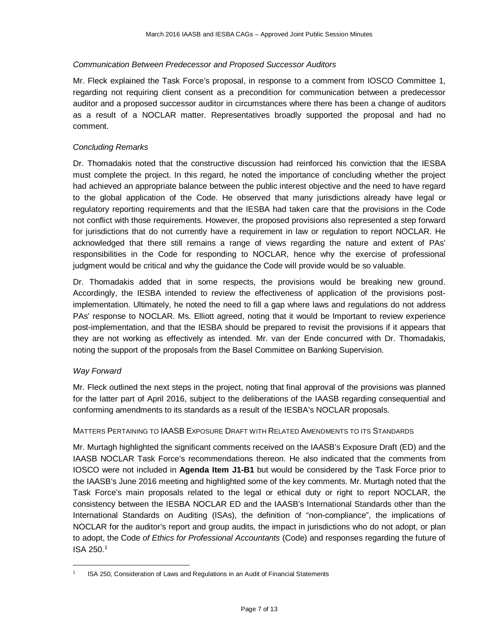## *Communication Between Predecessor and Proposed Successor Auditors*

Mr. Fleck explained the Task Force's proposal, in response to a comment from IOSCO Committee 1, regarding not requiring client consent as a precondition for communication between a predecessor auditor and a proposed successor auditor in circumstances where there has been a change of auditors as a result of a NOCLAR matter. Representatives broadly supported the proposal and had no comment.

## *Concluding Remarks*

Dr. Thomadakis noted that the constructive discussion had reinforced his conviction that the IESBA must complete the project. In this regard, he noted the importance of concluding whether the project had achieved an appropriate balance between the public interest objective and the need to have regard to the global application of the Code. He observed that many jurisdictions already have legal or regulatory reporting requirements and that the IESBA had taken care that the provisions in the Code not conflict with those requirements. However, the proposed provisions also represented a step forward for jurisdictions that do not currently have a requirement in law or regulation to report NOCLAR. He acknowledged that there still remains a range of views regarding the nature and extent of PAs' responsibilities in the Code for responding to NOCLAR, hence why the exercise of professional judgment would be critical and why the guidance the Code will provide would be so valuable.

Dr. Thomadakis added that in some respects, the provisions would be breaking new ground. Accordingly, the IESBA intended to review the effectiveness of application of the provisions postimplementation. Ultimately, he noted the need to fill a gap where laws and regulations do not address PAs' response to NOCLAR. Ms. Elliott agreed, noting that it would be Important to review experience post-implementation, and that the IESBA should be prepared to revisit the provisions if it appears that they are not working as effectively as intended. Mr. van der Ende concurred with Dr. Thomadakis, noting the support of the proposals from the Basel Committee on Banking Supervision.

#### *Way Forward*

Mr. Fleck outlined the next steps in the project, noting that final approval of the provisions was planned for the latter part of April 2016, subject to the deliberations of the IAASB regarding consequential and conforming amendments to its standards as a result of the IESBA's NOCLAR proposals.

#### MATTERS PERTAINING TO IAASB EXPOSURE DRAFT WITH RELATED AMENDMENTS TO ITS STANDARDS

Mr. Murtagh highlighted the significant comments received on the IAASB's Exposure Draft (ED) and the IAASB NOCLAR Task Force's recommendations thereon. He also indicated that the comments from IOSCO were not included in **Agenda Item J1-B1** but would be considered by the Task Force prior to the IAASB's June 2016 meeting and highlighted some of the key comments. Mr. Murtagh noted that the Task Force's main proposals related to the legal or ethical duty or right to report NOCLAR, the consistency between the IESBA NOCLAR ED and the IAASB's International Standards other than the International Standards on Auditing (ISAs), the definition of "non-compliance", the implications of NOCLAR for the auditor's report and group audits, the impact in jurisdictions who do not adopt, or plan to adopt, the Code *of Ethics for Professional Accountants* (Code) and responses regarding the future of ISA 250.[1](#page-6-0)

<span id="page-6-0"></span> <sup>1</sup> ISA 250, Consideration of Laws and Regulations in an Audit of Financial Statements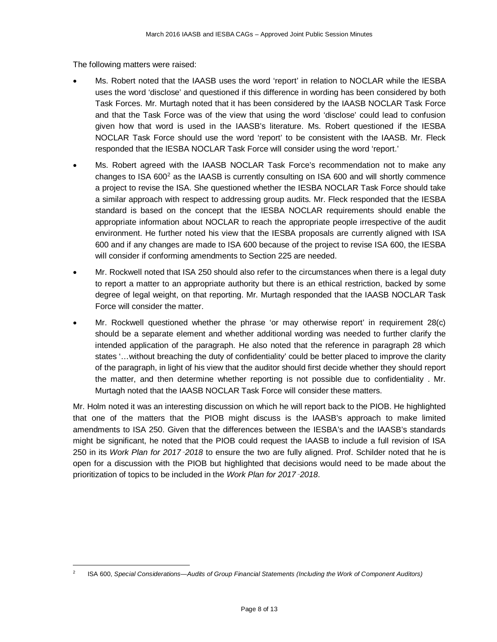The following matters were raised:

- Ms. Robert noted that the IAASB uses the word 'report' in relation to NOCLAR while the IESBA uses the word 'disclose' and questioned if this difference in wording has been considered by both Task Forces. Mr. Murtagh noted that it has been considered by the IAASB NOCLAR Task Force and that the Task Force was of the view that using the word 'disclose' could lead to confusion given how that word is used in the IAASB's literature. Ms. Robert questioned if the IESBA NOCLAR Task Force should use the word 'report' to be consistent with the IAASB. Mr. Fleck responded that the IESBA NOCLAR Task Force will consider using the word 'report.'
- Ms. Robert agreed with the IAASB NOCLAR Task Force's recommendation not to make any changes to ISA  $600^2$  as the IAASB is currently consulting on ISA 600 and will shortly commence a project to revise the ISA. She questioned whether the IESBA NOCLAR Task Force should take a similar approach with respect to addressing group audits. Mr. Fleck responded that the IESBA standard is based on the concept that the IESBA NOCLAR requirements should enable the appropriate information about NOCLAR to reach the appropriate people irrespective of the audit environment. He further noted his view that the IESBA proposals are currently aligned with ISA 600 and if any changes are made to ISA 600 because of the project to revise ISA 600, the IESBA will consider if conforming amendments to Section 225 are needed.
- Mr. Rockwell noted that ISA 250 should also refer to the circumstances when there is a legal duty to report a matter to an appropriate authority but there is an ethical restriction, backed by some degree of legal weight, on that reporting. Mr. Murtagh responded that the IAASB NOCLAR Task Force will consider the matter.
- Mr. Rockwell questioned whether the phrase 'or may otherwise report' in requirement 28(c) should be a separate element and whether additional wording was needed to further clarify the intended application of the paragraph. He also noted that the reference in paragraph 28 which states '…without breaching the duty of confidentiality' could be better placed to improve the clarity of the paragraph, in light of his view that the auditor should first decide whether they should report the matter, and then determine whether reporting is not possible due to confidentiality . Mr. Murtagh noted that the IAASB NOCLAR Task Force will consider these matters.

Mr. Holm noted it was an interesting discussion on which he will report back to the PIOB. He highlighted that one of the matters that the PIOB might discuss is the IAASB's approach to make limited amendments to ISA 250. Given that the differences between the IESBA's and the IAASB's standards might be significant, he noted that the PIOB could request the IAASB to include a full revision of ISA 250 in its *Work Plan for 2017*–*2018* to ensure the two are fully aligned. Prof. Schilder noted that he is open for a discussion with the PIOB but highlighted that decisions would need to be made about the prioritization of topics to be included in the *Work Plan for 2017*–*2018*.

<span id="page-7-0"></span> <sup>2</sup> ISA 600, *Special Considerations—Audits of Group Financial Statements (Including the Work of Component Auditors)*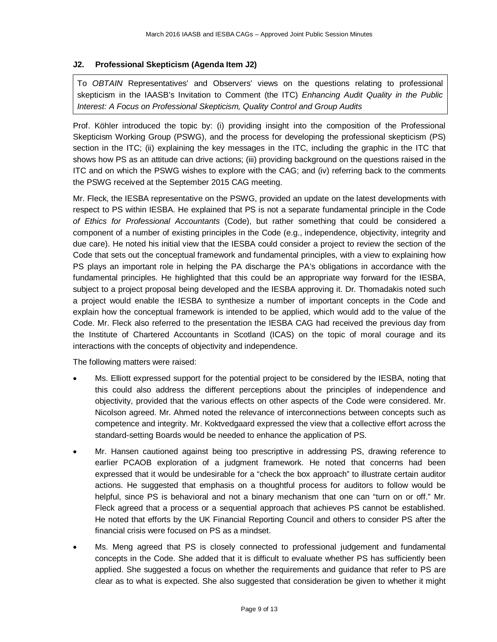### **J2. Professional Skepticism (Agenda Item J2)**

To *OBTAIN* Representatives' and Observers' views on the questions relating to professional skepticism in the IAASB's Invitation to Comment (the ITC) *Enhancing Audit Quality in the Public Interest: A Focus on Professional Skepticism, Quality Control and Group Audits*

Prof. Köhler introduced the topic by: (i) providing insight into the composition of the Professional Skepticism Working Group (PSWG), and the process for developing the professional skepticism (PS) section in the ITC; (ii) explaining the key messages in the ITC, including the graphic in the ITC that shows how PS as an attitude can drive actions; (iii) providing background on the questions raised in the ITC and on which the PSWG wishes to explore with the CAG; and (iv) referring back to the comments the PSWG received at the September 2015 CAG meeting.

Mr. Fleck, the IESBA representative on the PSWG, provided an update on the latest developments with respect to PS within IESBA. He explained that PS is not a separate fundamental principle in the Code *of Ethics for Professional Accountants* (Code), but rather something that could be considered a component of a number of existing principles in the Code (e.g., independence, objectivity, integrity and due care). He noted his initial view that the IESBA could consider a project to review the section of the Code that sets out the conceptual framework and fundamental principles, with a view to explaining how PS plays an important role in helping the PA discharge the PA's obligations in accordance with the fundamental principles. He highlighted that this could be an appropriate way forward for the IESBA, subject to a project proposal being developed and the IESBA approving it. Dr. Thomadakis noted such a project would enable the IESBA to synthesize a number of important concepts in the Code and explain how the conceptual framework is intended to be applied, which would add to the value of the Code. Mr. Fleck also referred to the presentation the IESBA CAG had received the previous day from the Institute of Chartered Accountants in Scotland (ICAS) on the topic of moral courage and its interactions with the concepts of objectivity and independence.

The following matters were raised:

- Ms. Elliott expressed support for the potential project to be considered by the IESBA, noting that this could also address the different perceptions about the principles of independence and objectivity, provided that the various effects on other aspects of the Code were considered. Mr. Nicolson agreed. Mr. Ahmed noted the relevance of interconnections between concepts such as competence and integrity. Mr. Koktvedgaard expressed the view that a collective effort across the standard-setting Boards would be needed to enhance the application of PS.
- Mr. Hansen cautioned against being too prescriptive in addressing PS, drawing reference to earlier PCAOB exploration of a judgment framework. He noted that concerns had been expressed that it would be undesirable for a "check the box approach" to illustrate certain auditor actions. He suggested that emphasis on a thoughtful process for auditors to follow would be helpful, since PS is behavioral and not a binary mechanism that one can "turn on or off." Mr. Fleck agreed that a process or a sequential approach that achieves PS cannot be established. He noted that efforts by the UK Financial Reporting Council and others to consider PS after the financial crisis were focused on PS as a mindset.
- Ms. Meng agreed that PS is closely connected to professional judgement and fundamental concepts in the Code. She added that it is difficult to evaluate whether PS has sufficiently been applied. She suggested a focus on whether the requirements and guidance that refer to PS are clear as to what is expected. She also suggested that consideration be given to whether it might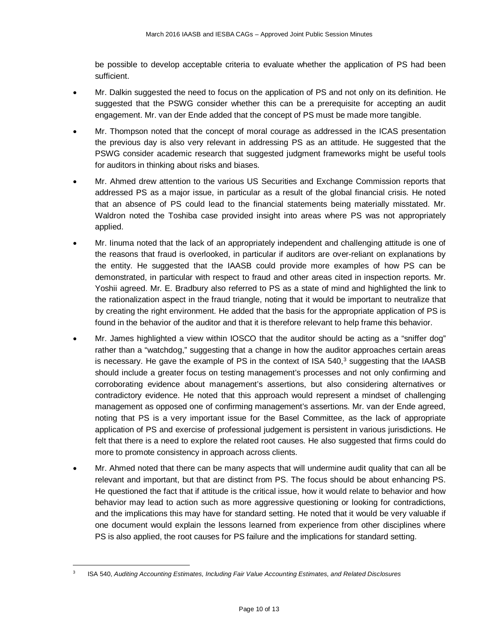be possible to develop acceptable criteria to evaluate whether the application of PS had been sufficient.

- Mr. Dalkin suggested the need to focus on the application of PS and not only on its definition. He suggested that the PSWG consider whether this can be a prerequisite for accepting an audit engagement. Mr. van der Ende added that the concept of PS must be made more tangible.
- Mr. Thompson noted that the concept of moral courage as addressed in the ICAS presentation the previous day is also very relevant in addressing PS as an attitude. He suggested that the PSWG consider academic research that suggested judgment frameworks might be useful tools for auditors in thinking about risks and biases.
- Mr. Ahmed drew attention to the various US Securities and Exchange Commission reports that addressed PS as a major issue, in particular as a result of the global financial crisis. He noted that an absence of PS could lead to the financial statements being materially misstated. Mr. Waldron noted the Toshiba case provided insight into areas where PS was not appropriately applied.
- Mr. Iinuma noted that the lack of an appropriately independent and challenging attitude is one of the reasons that fraud is overlooked, in particular if auditors are over-reliant on explanations by the entity. He suggested that the IAASB could provide more examples of how PS can be demonstrated, in particular with respect to fraud and other areas cited in inspection reports. Mr. Yoshii agreed. Mr. E. Bradbury also referred to PS as a state of mind and highlighted the link to the rationalization aspect in the fraud triangle, noting that it would be important to neutralize that by creating the right environment. He added that the basis for the appropriate application of PS is found in the behavior of the auditor and that it is therefore relevant to help frame this behavior.
- Mr. James highlighted a view within IOSCO that the auditor should be acting as a "sniffer dog" rather than a "watchdog," suggesting that a change in how the auditor approaches certain areas is necessary. He gave the example of PS in the context of ISA  $540<sup>3</sup>$  suggesting that the IAASB should include a greater focus on testing management's processes and not only confirming and corroborating evidence about management's assertions, but also considering alternatives or contradictory evidence. He noted that this approach would represent a mindset of challenging management as opposed one of confirming management's assertions. Mr. van der Ende agreed, noting that PS is a very important issue for the Basel Committee, as the lack of appropriate application of PS and exercise of professional judgement is persistent in various jurisdictions. He felt that there is a need to explore the related root causes. He also suggested that firms could do more to promote consistency in approach across clients.
- Mr. Ahmed noted that there can be many aspects that will undermine audit quality that can all be relevant and important, but that are distinct from PS. The focus should be about enhancing PS. He questioned the fact that if attitude is the critical issue, how it would relate to behavior and how behavior may lead to action such as more aggressive questioning or looking for contradictions, and the implications this may have for standard setting. He noted that it would be very valuable if one document would explain the lessons learned from experience from other disciplines where PS is also applied, the root causes for PS failure and the implications for standard setting.

<span id="page-9-0"></span> <sup>3</sup> ISA 540, *Auditing Accounting Estimates, Including Fair Value Accounting Estimates, and Related Disclosures*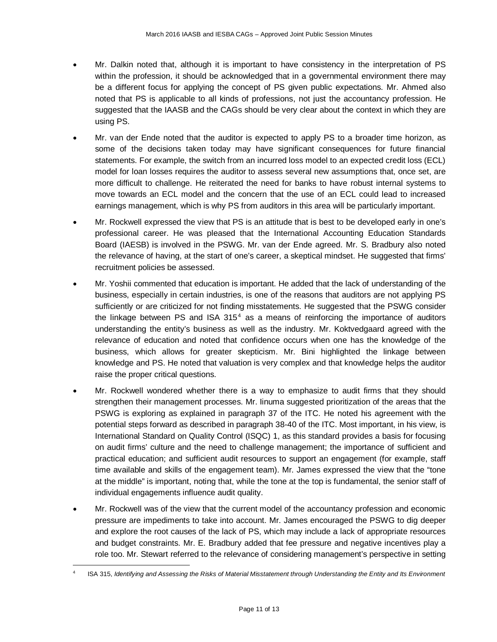- Mr. Dalkin noted that, although it is important to have consistency in the interpretation of PS within the profession, it should be acknowledged that in a governmental environment there may be a different focus for applying the concept of PS given public expectations. Mr. Ahmed also noted that PS is applicable to all kinds of professions, not just the accountancy profession. He suggested that the IAASB and the CAGs should be very clear about the context in which they are using PS.
- Mr. van der Ende noted that the auditor is expected to apply PS to a broader time horizon, as some of the decisions taken today may have significant consequences for future financial statements. For example, the switch from an incurred loss model to an expected credit loss (ECL) model for loan losses requires the auditor to assess several new assumptions that, once set, are more difficult to challenge. He reiterated the need for banks to have robust internal systems to move towards an ECL model and the concern that the use of an ECL could lead to increased earnings management, which is why PS from auditors in this area will be particularly important.
- Mr. Rockwell expressed the view that PS is an attitude that is best to be developed early in one's professional career. He was pleased that the International Accounting Education Standards Board (IAESB) is involved in the PSWG. Mr. van der Ende agreed. Mr. S. Bradbury also noted the relevance of having, at the start of one's career, a skeptical mindset. He suggested that firms' recruitment policies be assessed.
- Mr. Yoshii commented that education is important. He added that the lack of understanding of the business, especially in certain industries, is one of the reasons that auditors are not applying PS sufficiently or are criticized for not finding misstatements. He suggested that the PSWG consider the linkage between PS and ISA  $315<sup>4</sup>$  $315<sup>4</sup>$  $315<sup>4</sup>$  as a means of reinforcing the importance of auditors understanding the entity's business as well as the industry. Mr. Koktvedgaard agreed with the relevance of education and noted that confidence occurs when one has the knowledge of the business, which allows for greater skepticism. Mr. Bini highlighted the linkage between knowledge and PS. He noted that valuation is very complex and that knowledge helps the auditor raise the proper critical questions.
- Mr. Rockwell wondered whether there is a way to emphasize to audit firms that they should strengthen their management processes. Mr. Iinuma suggested prioritization of the areas that the PSWG is exploring as explained in paragraph 37 of the ITC. He noted his agreement with the potential steps forward as described in paragraph 38-40 of the ITC. Most important, in his view, is International Standard on Quality Control (ISQC) 1, as this standard provides a basis for focusing on audit firms' culture and the need to challenge management; the importance of sufficient and practical education; and sufficient audit resources to support an engagement (for example, staff time available and skills of the engagement team). Mr. James expressed the view that the "tone at the middle" is important, noting that, while the tone at the top is fundamental, the senior staff of individual engagements influence audit quality.
- Mr. Rockwell was of the view that the current model of the accountancy profession and economic pressure are impediments to take into account. Mr. James encouraged the PSWG to dig deeper and explore the root causes of the lack of PS, which may include a lack of appropriate resources and budget constraints. Mr. E. Bradbury added that fee pressure and negative incentives play a role too. Mr. Stewart referred to the relevance of considering management's perspective in setting

<span id="page-10-0"></span> <sup>4</sup> ISA 315, *Identifying and Assessing the Risks of Material Misstatement through Understanding the Entity and Its Environment*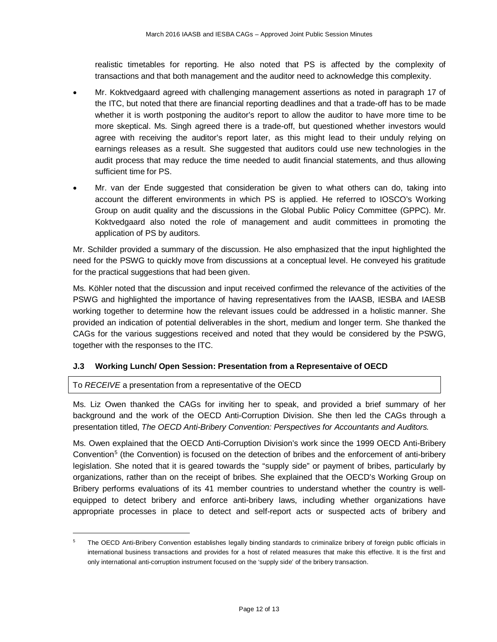realistic timetables for reporting. He also noted that PS is affected by the complexity of transactions and that both management and the auditor need to acknowledge this complexity.

- Mr. Koktvedgaard agreed with challenging management assertions as noted in paragraph 17 of the ITC, but noted that there are financial reporting deadlines and that a trade-off has to be made whether it is worth postponing the auditor's report to allow the auditor to have more time to be more skeptical. Ms. Singh agreed there is a trade-off, but questioned whether investors would agree with receiving the auditor's report later, as this might lead to their unduly relying on earnings releases as a result. She suggested that auditors could use new technologies in the audit process that may reduce the time needed to audit financial statements, and thus allowing sufficient time for PS.
- Mr. van der Ende suggested that consideration be given to what others can do, taking into account the different environments in which PS is applied. He referred to IOSCO's Working Group on audit quality and the discussions in the Global Public Policy Committee (GPPC). Mr. Koktvedgaard also noted the role of management and audit committees in promoting the application of PS by auditors.

Mr. Schilder provided a summary of the discussion. He also emphasized that the input highlighted the need for the PSWG to quickly move from discussions at a conceptual level. He conveyed his gratitude for the practical suggestions that had been given.

Ms. Köhler noted that the discussion and input received confirmed the relevance of the activities of the PSWG and highlighted the importance of having representatives from the IAASB, IESBA and IAESB working together to determine how the relevant issues could be addressed in a holistic manner. She provided an indication of potential deliverables in the short, medium and longer term. She thanked the CAGs for the various suggestions received and noted that they would be considered by the PSWG, together with the responses to the ITC.

## **J.3 Working Lunch/ Open Session: Presentation from a Representaive of OECD**

To *RECEIVE* a presentation from a representative of the OECD

Ms. Liz Owen thanked the CAGs for inviting her to speak, and provided a brief summary of her background and the work of the OECD Anti-Corruption Division. She then led the CAGs through a presentation titled, *The OECD Anti-Bribery Convention: Perspectives for Accountants and Auditors.* 

Ms. Owen explained that the OECD Anti-Corruption Division's work since the 1999 OECD Anti-Bribery Convention<sup>[5](#page-11-0)</sup> (the Convention) is focused on the detection of bribes and the enforcement of anti-bribery legislation. She noted that it is geared towards the "supply side" or payment of bribes, particularly by organizations, rather than on the receipt of bribes. She explained that the OECD's Working Group on Bribery performs evaluations of its 41 member countries to understand whether the country is wellequipped to detect bribery and enforce anti-bribery laws, including whether organizations have appropriate processes in place to detect and self-report acts or suspected acts of bribery and

<span id="page-11-0"></span><sup>&</sup>lt;sup>5</sup> The OECD Anti-Bribery Convention establishes legally binding standards to criminalize bribery of foreign public officials in international business transactions and provides for a host of related measures that make this effective. It is the first and only international anti-corruption instrument focused on the 'supply side' of the bribery transaction.